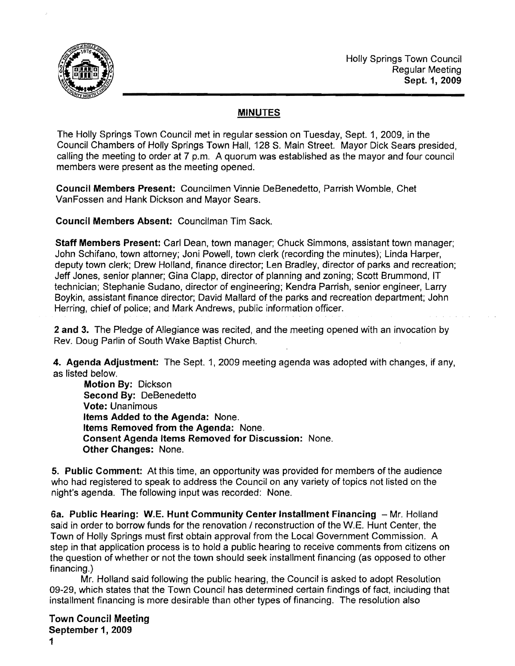

## MINUTES

The Holly Springs Town Council met in regular session on Tuesday, Sept. 1, 2009, in the Council Chambers of Holly Springs Town Hall, 128 S. Main Street. Mayor Dick Sears presided, calling the meeting to order at 7 p.m. A quorum was established as the mayor and four council members were present as the meeting opened.

Council Members Present: Councilmen Vinnie DeBenedetto, Parrish Womble, Chet VanFossen and Hank Dickson and Mayor Sears.

Council Members Absent: Councilman Tim Sack.

Staff Members Present: Carl Dean, town manager; Chuck Simmons, assistant town manager; John Schifano, town attorney; Joni Powell, town clerk (recording the minutes); Linda Harper, deputy town clerk; Drew Holland, finance director; Len Bradley, director of parks and recreation; Jeff Jones, senior planner; Gina Clapp, director of planning and zoning; Scott Brummond, IT technician; Stephanie Sudano, director of engineering; Kendra Parrish, senior engineer, Larry Boykin, assistant finance director; David Mallard of the parks and recreation department; John Herring, chief of police; and Mark Andrews, public information officer.

2 and 3. The Pledge of Allegiance was recited, and the meeting opened with an invocation by Rev. Doug Parlin of South Wake Baptist Church.

4. Agenda Adjustment: The Sept. 1, 2009 meeting agenda was adopted with changes, if any, as listed below.

Motion By: Dickson Second By: DeBenedetto Vote: Unanimous Items Added to the Agenda: None. Items Removed from the Agenda: None. Consent Agenda Items Removed for Discussion: None. Other Changes: None.

5. Public Comment: At this time, an opportunity was provided for members of the audience who had registered to speak to address the Council on any variety of topics not listed on the night's agenda. The following input was recorded: None.

6a. Public Hearing: W.E. Hunt Community Center Installment Financing - Mr. Holland said in order to borrow funds for the renovation / reconstruction of the W.E. Hunt Center, the Town of Holly Springs must first obtain approval from the Local Government Commission. A step in that application process is to hold a public hearing to receive comments from citizens on the question of whether or not the town should seek installment financing (as opposed to other financing.)

Mr. Holland said following the public hearing, the Council is asked to adopt Resolution 09-29, which states that the Town Council has determined certain findings of fact, including that installment financing is more desirable than other types of financing. The resolution also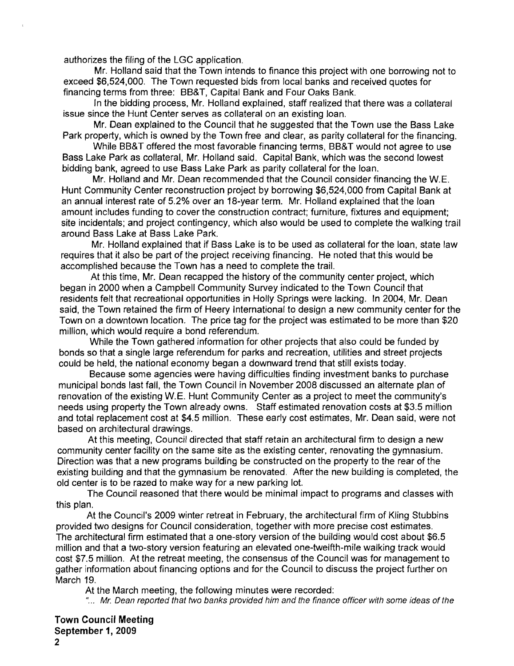authorizes the filing of the LGC application.

Mr. Holland said that the Town intends to finance this project with one borrowing not to exceed \$6,524,000. The Town requested bids from local banks and received quotes for financing terms from three: BB&T, Capital Bank and Four Oaks Bank.

In the bidding process, Mr. Holland explained, staff realized that there was a collateral issue since the Hunt Center serves as collateral on an existing loan.

Mr. Dean explained to the Council that he suggested that the Town use the Bass Lake Park property, which is owned by the Town free and clear, as parity collateral for the financing.

While BB&T offered the most favorable financing terms, BB&T would not agree to use Bass Lake Park as collateral, Mr. Holland said. Capital Bank, which was the second lowest bidding bank, agreed to use Bass Lake Park as parity collateral for the loan.

Mr. Holland and Mr. Dean recommended that the Council consider financing the W.E. Hunt Community Center reconstruction project by borrowing \$6,524,000 from Capital Bank at an annual interest rate of 5.2% over an 18-year term. Mr. Holland explained that the loan amount includes funding to cover the construction contract; furniture, fixtures and equipment; site incidentals; and project contingency, which also would be used to complete the walking trail around Bass Lake at Bass Lake Park.

Mr. Holland explained that if Bass Lake is to be used as collateral for the loan, state law requires that it also be part of the project receiving financing. He noted that this would be accomplished because the Town has a need to complete the trail.

At this time, Mr. Dean recapped the history of the community center project, which began in 2000 when a Campbell Community Survey indicated to the Town Council that residents felt that recreational opportunities in Holly Springs were lacking. In 2004, Mr. Dean said, the Town retained the firm of Heery International to design a new community center for the Town on a downtown location. The price tag for the project was estimated to be more than \$20 miliion, which would require a bond referendum.

While the Town gathered information for other projects that also could be funded by bonds so that a single large referendum for parks and recreation, utilities and street projects could be held, the national economy began a downward trend that still exists today.

Because some agencies were having difficulties finding investment banks to purchase municipal bonds last fall, the Town Council in November 2008 discussed an alternate plan of renovation of the existing W.E. Hunt Community Center as a project to meet the community's needs using property the Town already owns. Staff estimated renovation costs at \$3.5 million and total replacement cost at \$4.5 million. These early cost estimates, Mr. Dean said. were not based on architectural drawings.

At this meeting, Council directed that staff retain an architectural firm to design a new community center facility on the same site as the existing center, renovating the gymnasium. Direction was that a new programs building be constructed on the property to the rear of the existing building and that the gymnasium be renovated. After the new building is completed, the old center is to be razed to make way for a new parking lot.

The Council reasoned that there would be minimal impact to programs and classes with this plan.

At the Council's 2009 winter retreat in February, the architectural firm of Kling Stubbins provided two designs for Council consideration, together with more precise cost estimates. The architectural firm estimated that a one-story version of the building would cost about \$6.5 million and that a two-story version featuring an elevated one-twelfth-mile walking track would cost \$7.5 million. At the retreat meeting, the consensus of the Council was for management to gather information about financing options and for the Council to discuss the project further on March 19.

At the March meeting, the following minutes were recorded:

"... Mr. Dean reported that two banks provided him and the finance officer with some ideas of the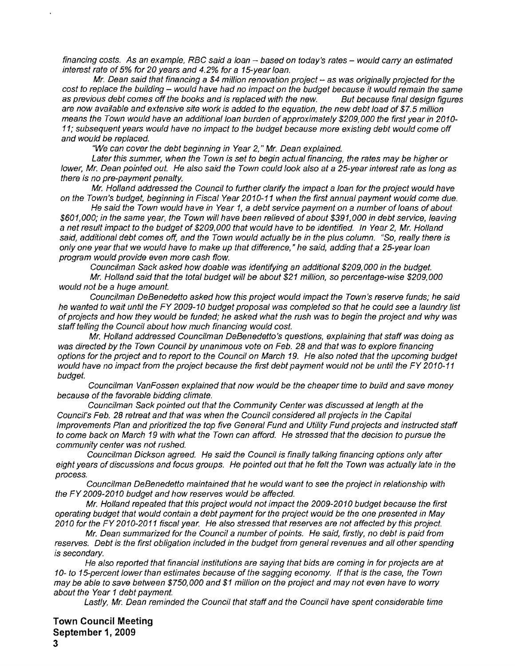financing costs. As an example, RBC said a loan - based on today's rates - would carry an estimated interest rate of 5% for 20 years and 4.2% for a 15-year loan.

Mr. Dean said that financing a \$4 million renovation project  $-$  as was originally projected for the cost to replace the building – would have had no impact on the budget because it would remain the same<br>as previous debt comes off the books and is replaced with the new. But because final design figures as previous debt comes off the books and is replaced with the new. are now available and extensive site work is added to the equation, the new debt load of \$7.5 million means the Town would have an additional loan burden of approximately \$209,000 the first year in 2010-11; subsequent years would have no impact to the budget because more existing debt would come off and would be replaced.

"We can cover the debt beginning in Year 2, " Mr. Dean explained.

Later this summer, when the Town is set to begin actual financing, the rates may be higher or lower, Mr. Dean pointed out. He also said the Town could look also at a 25-year interest rate as long as there is no pre-payment penalty.

Mr. Holland addressed the Council to further clarify the impact a loan for the project would have on the Town's budget, beginning in Fiscal Year 2010-11 when the first annual payment would come due.

He said the Town would have in Year 1, a debt service payment on a number of loans of about \$601,000; in the same year, the Town will have been relieved of about \$391,000 in debt service, leaving a net result impact to the budget of \$209,000 that would have to be identified. In Year 2, Mr. Holland said, additional debt comes off, and the Town would actually be in the plus column. "So, really there is only one year that we would have to make up that difference," he said, adding that a 25-year loan program would provide even more cash flow.

Councilman Sack asked how doable was identifying an additional \$209,000 in the budget.

Mr. Holland said that the total budget will be about \$21 million, so percentage-wise \$209,000 would not be a huge amount.

Councilman DeBenedetto asked how this project would impact the Town's reserve funds; he said he wanted to wait until the FY 2009-10 budget proposal was completed so that he could see a laundry list of projects and how they would be funded; he asked what the rush was to begin the project and why was staff telling the Council about how much financing would cost.

Mr. Holland addressed Councilman DeBenedetto's questions, explaining that staff was doing as was directed by the Town Council by unanimous vote on Feb. 28 and that was to explore financing options for the project and to report to the Council on March 19. He also noted that the upcoming budget would have no impact from the project because the first debt payment would not be until the FY 2010-11 budget.

Councilman VanFossen explained that now would be the cheaper time to build and save money because of the favorable bidding climate.

Councilman Sack pointed out that the Community Center was discussed at length at the Council's Feb. 28 retreat and that was when the Council considered al/ projects in the Capital Improvements Plan and prioritized the top five General Fund and Utility Fund projects and instructed staff to come back on March 19 with what the Town can afford. He stressed that the decision to pursue the community center was not rushed.

Councilman Dickson agreed. He said the Council is finally talking financing options only after eight years of discussions and focus groups. He pointed out that he felt the Town was actually late in the process.

Councilman DeBenedetto maintained that he would want to see the project in relationship with the FY2009-2010 budget and how reserves would be affected.

Mr. Holland repeated that this project would not impact the 2009-2010 budget because the first operating budget that would contain a debt payment for the project would be the one presented in May 2010 for the FY2010-2011 fiscal year. He also stressed that reserves are not affected by this project.

Mr. Dean summarized for the Council a number of points. He said, firstly, no debt is paid from reserves. Debt is the first obligation included in the budget from general revenues and all other spending is secondary.

He also reported that financial institutions are saying that bids are coming in for projects are at 10- to 15-percent lower than estimates because of the sagging economy. If that is the case, the Town may be able to save between \$750,000 and \$1 million on the project and may not even have to worry about the Year 1 debt payment.

Lastly, Mr. Dean reminded the Council that staffand the Council have spent considerable time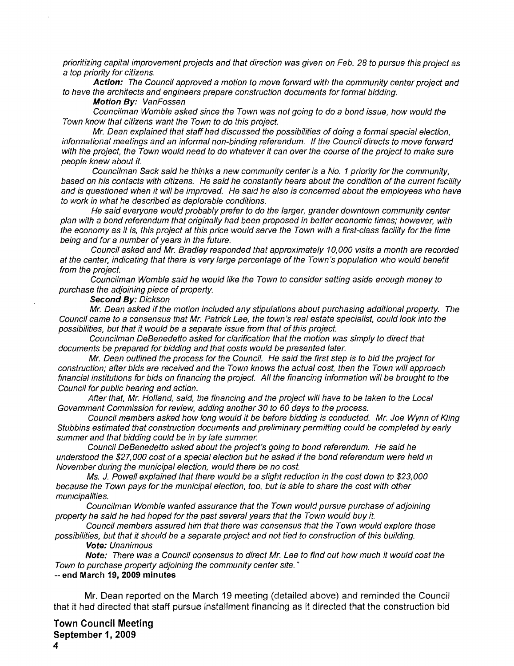prioritizing capital improvement projects and that direction was given on Feb. 28 to pursue this project as a top priority for citizens.

**Action:** The Council approved a motion to move forward with the community center project and to have the architects and engineers prepare construction documents for formal bidding.

**Motion By:** VanFossen

Councilman Womble asked since the Town was not going to do a bond issue, how would the Town know that citizens want the Town to do this project.

Mr. Dean explained that staff had discussed the possibilities of doing a formal special election, informational meetings and an informal non-binding referendum. If the Council directs to move forward with the project, the Town would need to do whatever it can over the course of the project to make sure people knew about it.

Councilman Sack said he thinks a new community center is a No. 1 priority for the community, based on his contacts with citizens. He said he constantly hears about the condition of the current facility and is questioned when it will be improved. He said he also is concerned about the employees who have to work in what he described as deplorable conditions.

He said everyone would probably prefer to do the larger, grander downtown community center plan with a bond referendum that originally had been proposed in better economic times; however, with the economy as it is, this project at this price would serve the Town with a first-class facility for the time being and for a number of years in the future.

Council asked and Mr. Bradley responded that approximately 10,000 visits a month are recorded at the center, indicating that there is very large percentage of the Town's population who would benefit from the project.

Councilman Womble said he would like the Town to consider setting aside enough money to purchase the adjoining piece of property.

**Second By:** Dickson

Mr. Dean asked if the motion included any stipulations about purchasing additional property. The Council came to a consensus that Mr. Patrick Lee, the town's real estate specialist, could look into the possibilities, but that it would be a separate issue from that of this project.

Councilman DeBenedetto asked for clarification that the motion was simply to direct that documents be prepared for bidding and that costs would be presented later.

Mr. Dean outlined the process for the Council. He said the first step is to bid the project for construction; after bids are received and the Town knows the actual cost, then the Town will approach financial institutions for bids on financing the project. All the financing information will be brought to the Council for public hearing and action.

After that, Mr. Holland, said, the financing and the project will have to be taken to the Local Government Commission for review, adding another 30 to 60 days to the process.

Council members asked how long would it be before bidding is conducted. Mr. Joe Wynn of Kling Stubbins estimated that construction documents and preliminary permitting could be completed by early summer and that bidding could be in by late summer.

Council DeBenedetto asked about the project's going to bond referendum. He said he understood the \$27,000 cost of a special election but he asked if the bond referendum were held in November during the municipal election, would there be no cost.

Ms. J. Powell explained that there would be a slight reduction in the cost down to \$23,000 because the Town pays for the municipal election, too, but is able to share the cost with other municipalities.

Councilman Womble wanted assurance that the Town would pursue purchase of adjoining property he said he had hoped for the past several years that the Town would buy it.

Council members assured him that there was consensus that the Town would explore those possibilities, but that it should be a separate project and not tied to construction ofthis building.

**Vote:** Unanimous

**Note:** There was a Council consensus to direct Mr. Lee to find out how much it would cost the Town to purchase property adjoining the community center site. "

-- **end March 19, 2009 minutes** 

**Mr.** Dean reported on the March 19 meeting (detailed above) and reminded the Council that it had directed that staff pursue installment financing as it directed that the construction bid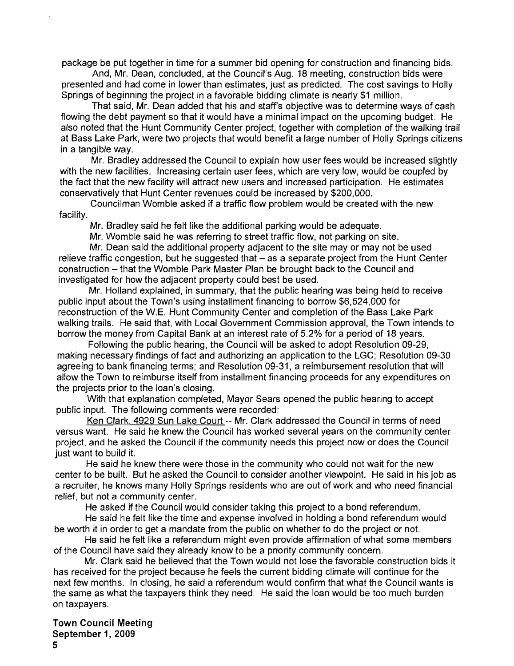package be put together in time for a summer bid opening for construction and financing bids.

And, Mr. Dean, concluded, at the Council's Aug. 18 meeting, construction bids were presented and had come in lower than estimates, just as predicted. The cost savings to Holly Springs of beginning the project in a favorable bidding climate is nearly \$1 million.

That said, Mr. Dean added that his and staff's objective was to determine ways of cash flowing the debt payment so that it would have a minimal impact on the upcoming budget. He also noted that the Hunt Community Center project, together with completion of the walking trail at Bass Lake Park, were two projects that would benefit a large number of Holly Springs citizens in a tangible way.

Mr. Bradley addressed the Council to explain how user fees would be increased slightly with the new facilities. Increasing certain user fees, which are very low, would be coupled by the fact that the new facility will attract new users and increased participation. He estimates conservatively that Hunt Center revenues could be increased by \$200,000.

Councilman Womble asked if a traffic flow problem would be created with the new facility.

Mr. Bradley said he felt like the additional parking would be adequate.

Mr. Womble said he was referring to street traffic flow, not parking on site.

Mr. Dean said the additional property adjacent to the site mayor may not be used relieve traffic congestion, but he suggested that - as a separate project from the Hunt Center construction - that the Womble Park Master Plan be brought back to the Council and investigated for how the adjacent property could best be used.

Mr. Holland explained, in summary, that the public hearing was being held to receive public input about the Town's using installment financing to borrow \$6,524,000 for reconstruction of the W.E. Hunt Community Center and completion of the Bass Lake Park walking trails. He said that, with Local Government Commission approval, the Town intends to borrow the money from Capital Bank at an interest rate of 5.2% for a period of 18 years.

Following the public hearing, the Council will be asked to adopt Resolution 09-29, making necessary findings of fact and authorizing an application to the LGC; Resolution 09-30 agreeing to bank financing terms; and Resolution 09-31, a reimbursement resolution that will allow the Town to reimburse itself from installment financing proceeds for any expenditures on the projects prior to the loan's closing.

With that explanation completed, Mayor Sears opened the public hearing to accept public input. The following comments were recorded:

Ken Clark, 4929 Sun Lake Court -- Mr. Clark addressed the Council in terms of need versus want. He said he knew the Council has worked several years on the community center project, and he asked the Council if the community needs this project now or does the Council just want to build it.

He said he knew there were those in the community who could not wait for the new center to be built. But he asked the Council to consider another viewpoint. He said in his job as a recruiter, he knows many Holly Springs residents who are out of work and who need financial relief, but not a community center.

He asked if the Council would consider taking this project to a bond referendum.

He said he felt like the time and expense involved in holding a bond referendum would be worth it in order to get a mandate from the public on whether to do the project or not.

He said he felt like a referendum might even provide affirmation of what some members of the Council have said they already know to be a priority community concern.

Mr. Clark said he believed that the Town would not lose the favorable construction bids it has received for the project because he feels the current bidding climate will continue for the next few months. In closing, he said a referendum would confirm that what the Council wants is the same as what the taxpayers think they need. He said the loan would be too much burden on taxpayers.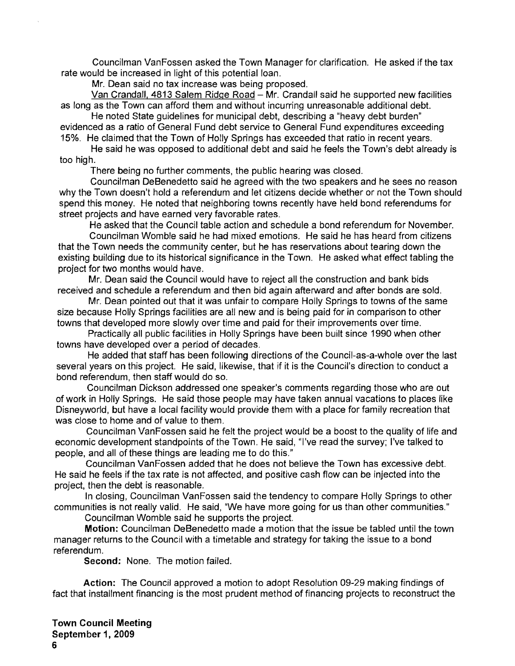Councilman VanFossen asked the Town Manager for clarification. He asked if the tax rate would be increased in light of this potential loan.

Mr. Dean said no tax increase was being proposed.

Van Crandall. 4813 Salem Ridge Road - Mr. Crandall said he supported new facilities as long as the Town can afford them and without incurring unreasonable additional debt.

He noted State guidelines for municipal debt, describing a "heavy debt burden" evidenced as a ratio of General Fund debt service to General Fund expenditures exceeding 15%. He claimed that the Town of Holly Springs has exceeded that ratio in recent years.

He said he was opposed to additional debt and said he feels the Town's debt already is too high.

There being no further comments, the public hearing was closed.

Councilman DeBenedetto said he agreed with the two speakers and he sees no reason why the Town doesn't hold a referendum and let citizens decide whether or not the Town should spend this money. He noted that neighboring towns recently have held bond referendums for street projects and have earned very favorable rates.

He asked that the Council table action and schedule a bond referendum for November.

Councilman Womble said he had mixed emotions. He said he has heard from citizens that the Town needs the community center, but he has reservations about tearing down the existing building due to its historical significance in the Town. He asked what effect tabling the project for two months would have.

Mr. Dean said the Council would have to reject all the construction and bank bids received and schedule a referendum and then bid again afterward and after bonds are sold.

Mr. Dean painted out that it was unfair to compare Holly Springs to towns of the same size because Holly Springs facilities are all new and is being paid for in comparison to other towns that developed more slowly over time and paid for their improvements over time.

Practically all public facilities in Holly Springs have been built since 1990 when other towns have developed over a period of decades.

He added that staff has been following directions of the Council-as-a-whole over the last several years on this project. He said, likewise, that if it is the Council's direction to conduct a bond referendum, then staff would do so.

Councilman Dickson addressed one speaker's comments regarding those who are out of work in Holly Springs. He said those people may have taken annual vacations to places like Disneyworld, but have a local facility would provide them with a place for family recreation that was close to home and of value to them.

Councilman VanFossen said he felt the project would be a boost to the quality of life and economic development standpoints of the Town. He said, "I've read the survey; I've talked to people, and all of these things are leading me to do this."

Councilman VanFossen added that he does not believe the Town has excessive debt. He said he feels if the tax rate is not affected, and positive cash flow can be injected into the project, then the debt is reasonable.

In closing, Councilman VanFossen said the tendency to compare Holly Springs to other communities is not really valid. He said, "We have more going for us than other communities."

Councilman Womble said he supports the project.

Motion: Councilman DeBenedetto made a motion that the issue be tabled until the town manager returns to the Council with a timetable and strategy for taking the issue to a bond referendum.

Second: None. The motion failed.

Action: The Council approved a motion to adopt Resolution 09-29 making findings of fact that installment financing is the most prudent method of financing projects to reconstruct the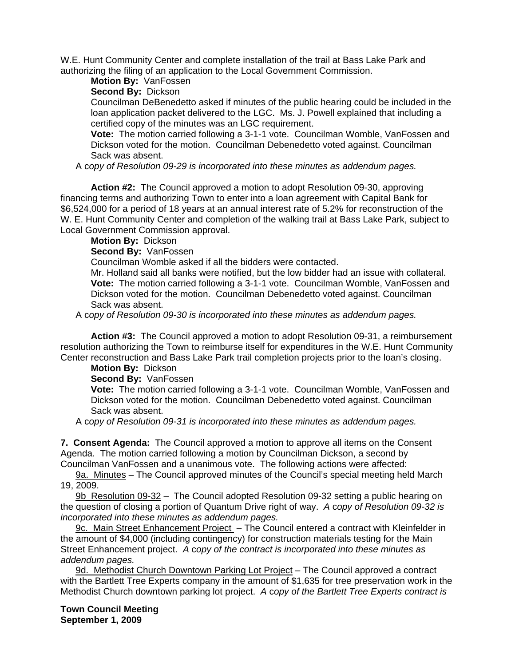W.E. Hunt Community Center and complete installation of the trail at Bass Lake Park and authorizing the filing of an application to the Local Government Commission.

**Motion By:** VanFossen

**Second By:** Dickson

Councilman DeBenedetto asked if minutes of the public hearing could be included in the loan application packet delivered to the LGC. Ms. J. Powell explained that including a certified copy of the minutes was an LGC requirement.

**Vote:** The motion carried following a 3-1-1 vote. Councilman Womble, VanFossen and Dickson voted for the motion. Councilman Debenedetto voted against. Councilman Sack was absent.

A c*opy of Resolution 09-29 is incorporated into these minutes as addendum pages.* 

 **Action #2:** The Council approved a motion to adopt Resolution 09-30, approving financing terms and authorizing Town to enter into a loan agreement with Capital Bank for \$6,524,000 for a period of 18 years at an annual interest rate of 5.2% for reconstruction of the W. E. Hunt Community Center and completion of the walking trail at Bass Lake Park, subject to Local Government Commission approval.

**Motion By:** Dickson

**Second By:** VanFossen

Councilman Womble asked if all the bidders were contacted.

Mr. Holland said all banks were notified, but the low bidder had an issue with collateral. **Vote:** The motion carried following a 3-1-1 vote. Councilman Womble, VanFossen and Dickson voted for the motion. Councilman Debenedetto voted against. Councilman Sack was absent.

A c*opy of Resolution 09-30 is incorporated into these minutes as addendum pages.* 

 **Action #3:** The Council approved a motion to adopt Resolution 09-31, a reimbursement resolution authorizing the Town to reimburse itself for expenditures in the W.E. Hunt Community Center reconstruction and Bass Lake Park trail completion projects prior to the loan's closing.

**Motion By:** Dickson

**Second By:** VanFossen

**Vote:** The motion carried following a 3-1-1 vote. Councilman Womble, VanFossen and Dickson voted for the motion. Councilman Debenedetto voted against. Councilman Sack was absent.

A c*opy of Resolution 09-31 is incorporated into these minutes as addendum pages.* 

**7. Consent Agenda:** The Council approved a motion to approve all items on the Consent Agenda. The motion carried following a motion by Councilman Dickson, a second by Councilman VanFossen and a unanimous vote. The following actions were affected:

9a. Minutes – The Council approved minutes of the Council's special meeting held March 19, 2009.

9b Resolution 09-32 – The Council adopted Resolution 09-32 setting a public hearing on the question of closing a portion of Quantum Drive right of way. *A* c*opy of Resolution 09-32 is incorporated into these minutes as addendum pages.*

9c. Main Street Enhancement Project - The Council entered a contract with Kleinfelder in the amount of \$4,000 (including contingency) for construction materials testing for the Main Street Enhancement project. *A* c*opy of the contract is incorporated into these minutes as addendum pages.*

9d. Methodist Church Downtown Parking Lot Project – The Council approved a contract with the Bartlett Tree Experts company in the amount of \$1,635 for tree preservation work in the Methodist Church downtown parking lot project. *A* c*opy of the Bartlett Tree Experts contract is* 

**Town Council Meeting September 1, 2009**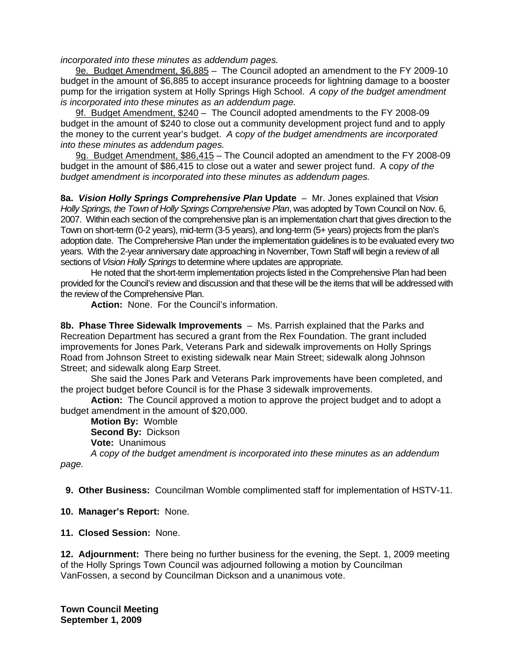*incorporated into these minutes as addendum pages.*

9e. Budget Amendment, \$6,885 – The Council adopted an amendment to the FY 2009-10 budget in the amount of \$6,885 to accept insurance proceeds for lightning damage to a booster pump for the irrigation system at Holly Springs High School. *A* c*opy of the budget amendment is incorporated into these minutes as an addendum page.*

9f. Budget Amendment, \$240 – The Council adopted amendments to the FY 2008-09 budget in the amount of \$240 to close out a community development project fund and to apply the money to the current year's budget. *A* c*opy of the budget amendments are incorporated into these minutes as addendum pages.*

9g. Budget Amendment, \$86,415 – The Council adopted an amendment to the FY 2008-09 budget in the amount of \$86,415 to close out a water and sewer project fund. A c*opy of the budget amendment is incorporated into these minutes as addendum pages.* 

**8a.** *Vision Holly Springs Comprehensive Plan* **Update** – Mr. Jones explained that *Vision Holly Springs, the Town of Holly Springs Comprehensive Plan*, was adopted by Town Council on Nov. 6, 2007. Within each section of the comprehensive plan is an implementation chart that gives direction to the Town on short-term (0-2 years), mid-term (3-5 years), and long-term (5+ years) projects from the plan's adoption date. The Comprehensive Plan under the implementation guidelines is to be evaluated every two years. With the 2-year anniversary date approaching in November, Town Staff will begin a review of all sections of *Vision Holly Springs* to determine where updates are appropriate.

 He noted that the short-term implementation projects listed in the Comprehensive Plan had been provided for the Council's review and discussion and that these will be the items that will be addressed with the review of the Comprehensive Plan.

**Action:** None. For the Council's information.

**8b. Phase Three Sidewalk Improvements** – Ms. Parrish explained that the Parks and Recreation Department has secured a grant from the Rex Foundation. The grant included improvements for Jones Park, Veterans Park and sidewalk improvements on Holly Springs Road from Johnson Street to existing sidewalk near Main Street; sidewalk along Johnson Street; and sidewalk along Earp Street.

 She said the Jones Park and Veterans Park improvements have been completed, and the project budget before Council is for the Phase 3 sidewalk improvements.

**Action:** The Council approved a motion to approve the project budget and to adopt a budget amendment in the amount of \$20,000.

**Motion By:** Womble **Second By:** Dickson **Vote:** Unanimous

*A copy of the budget amendment is incorporated into these minutes as an addendum page.* 

 **9. Other Business:** Councilman Womble complimented staff for implementation of HSTV-11.

- **10. Manager's Report:** None.
- **11. Closed Session:** None.

**12. Adjournment:** There being no further business for the evening, the Sept. 1, 2009 meeting of the Holly Springs Town Council was adjourned following a motion by Councilman VanFossen, a second by Councilman Dickson and a unanimous vote.